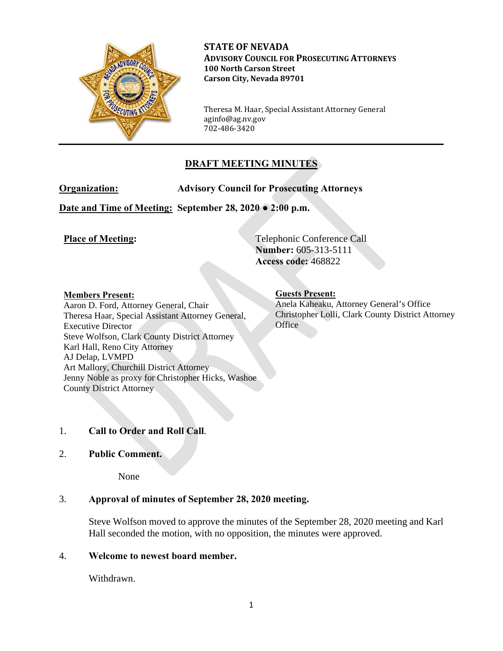

**STATE OF NEVADA ADVISORY COUNCIL FOR PROSECUTING ATTORNEYS 100 North Carson Street Carson City, Nevada 89701**

Theresa M. Haar, Special Assistant Attorney General aginfo@ag.nv.gov 702-486-3420

# **DRAFT MEETING MINUTES**

**Organization: Advisory Council for Prosecuting Attorneys** 

**Date and Time of Meeting: September 28, 2020 ● 2:00 p.m.**

**Place of Meeting:** Telephonic Conference Call **Number:** 605-313-5111 **Access code:** 468822

#### **Members Present:**

Aaron D. Ford, Attorney General, Chair Theresa Haar, Special Assistant Attorney General, Executive Director Steve Wolfson, Clark County District Attorney Karl Hall, Reno City Attorney AJ Delap, LVMPD Art Mallory, Churchill District Attorney Jenny Noble as proxy for Christopher Hicks, Washoe County District Attorney

## **Guests Present:**

Anela Kaheaku, Attorney General's Office Christopher Lolli, Clark County District Attorney **Office** 

# 1. **Call to Order and Roll Call**.

## 2. **Public Comment.**

None

# 3. **Approval of minutes of September 28, 2020 meeting.**

Steve Wolfson moved to approve the minutes of the September 28, 2020 meeting and Karl Hall seconded the motion, with no opposition, the minutes were approved.

## 4. **Welcome to newest board member.**

Withdrawn.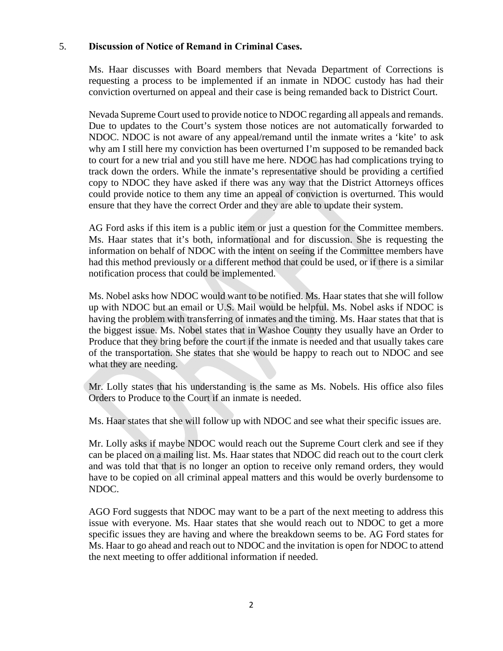#### 5. **Discussion of Notice of Remand in Criminal Cases.**

Ms. Haar discusses with Board members that Nevada Department of Corrections is requesting a process to be implemented if an inmate in NDOC custody has had their conviction overturned on appeal and their case is being remanded back to District Court.

Nevada Supreme Court used to provide notice to NDOC regarding all appeals and remands. Due to updates to the Court's system those notices are not automatically forwarded to NDOC. NDOC is not aware of any appeal/remand until the inmate writes a 'kite' to ask why am I still here my conviction has been overturned I'm supposed to be remanded back to court for a new trial and you still have me here. NDOC has had complications trying to track down the orders. While the inmate's representative should be providing a certified copy to NDOC they have asked if there was any way that the District Attorneys offices could provide notice to them any time an appeal of conviction is overturned. This would ensure that they have the correct Order and they are able to update their system.

AG Ford asks if this item is a public item or just a question for the Committee members. Ms. Haar states that it's both, informational and for discussion. She is requesting the information on behalf of NDOC with the intent on seeing if the Committee members have had this method previously or a different method that could be used, or if there is a similar notification process that could be implemented.

Ms. Nobel asks how NDOC would want to be notified. Ms. Haar states that she will follow up with NDOC but an email or U.S. Mail would be helpful. Ms. Nobel asks if NDOC is having the problem with transferring of inmates and the timing. Ms. Haar states that that is the biggest issue. Ms. Nobel states that in Washoe County they usually have an Order to Produce that they bring before the court if the inmate is needed and that usually takes care of the transportation. She states that she would be happy to reach out to NDOC and see what they are needing.

Mr. Lolly states that his understanding is the same as Ms. Nobels. His office also files Orders to Produce to the Court if an inmate is needed.

Ms. Haar states that she will follow up with NDOC and see what their specific issues are.

Mr. Lolly asks if maybe NDOC would reach out the Supreme Court clerk and see if they can be placed on a mailing list. Ms. Haar states that NDOC did reach out to the court clerk and was told that that is no longer an option to receive only remand orders, they would have to be copied on all criminal appeal matters and this would be overly burdensome to NDOC.

AGO Ford suggests that NDOC may want to be a part of the next meeting to address this issue with everyone. Ms. Haar states that she would reach out to NDOC to get a more specific issues they are having and where the breakdown seems to be. AG Ford states for Ms. Haar to go ahead and reach out to NDOC and the invitation is open for NDOC to attend the next meeting to offer additional information if needed.